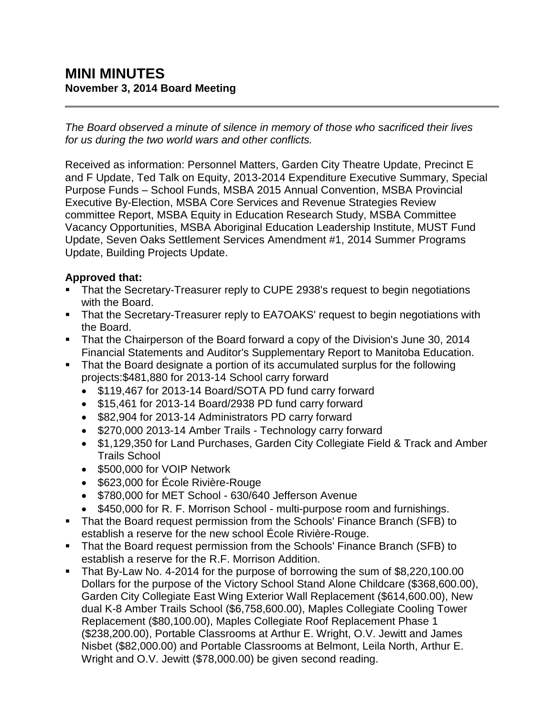# **MINI MINUTES November 3, 2014 Board Meeting**

*The Board observed a minute of silence in memory of those who sacrificed their lives for us during the two world wars and other conflicts.*

Received as information: Personnel Matters, Garden City Theatre Update, Precinct E and F Update, Ted Talk on Equity, 2013-2014 Expenditure Executive Summary, Special Purpose Funds – School Funds, MSBA 2015 Annual Convention, MSBA Provincial Executive By-Election, MSBA Core Services and Revenue Strategies Review committee Report, MSBA Equity in Education Research Study, MSBA Committee Vacancy Opportunities, MSBA Aboriginal Education Leadership Institute, MUST Fund Update, Seven Oaks Settlement Services Amendment #1, 2014 Summer Programs Update, Building Projects Update.

#### **Approved that:**

- That the Secretary-Treasurer reply to CUPE 2938's request to begin negotiations with the Board.
- **That the Secretary-Treasurer reply to EA7OAKS' request to begin negotiations with** the Board.
- That the Chairperson of the Board forward a copy of the Division's June 30, 2014 Financial Statements and Auditor's Supplementary Report to Manitoba Education.
- That the Board designate a portion of its accumulated surplus for the following projects:\$481,880 for 2013-14 School carry forward
	- \$119,467 for 2013-14 Board/SOTA PD fund carry forward
	- \$15,461 for 2013-14 Board/2938 PD fund carry forward
	- \$82,904 for 2013-14 Administrators PD carry forward
	- \$270,000 2013-14 Amber Trails Technology carry forward
	- \$1,129,350 for Land Purchases, Garden City Collegiate Field & Track and Amber Trails School
	- \$500,000 for VOIP Network
	- \$623,000 for École Rivière-Rouge
	- \$780,000 for MET School 630/640 Jefferson Avenue
	- \$450,000 for R. F. Morrison School multi-purpose room and furnishings.
- That the Board request permission from the Schools' Finance Branch (SFB) to establish a reserve for the new school École Rivière-Rouge.
- That the Board request permission from the Schools' Finance Branch (SFB) to establish a reserve for the R.F. Morrison Addition.
- That By-Law No. 4-2014 for the purpose of borrowing the sum of \$8,220,100.00 Dollars for the purpose of the Victory School Stand Alone Childcare (\$368,600.00), Garden City Collegiate East Wing Exterior Wall Replacement (\$614,600.00), New dual K-8 Amber Trails School (\$6,758,600.00), Maples Collegiate Cooling Tower Replacement (\$80,100.00), Maples Collegiate Roof Replacement Phase 1 (\$238,200.00), Portable Classrooms at Arthur E. Wright, O.V. Jewitt and James Nisbet (\$82,000.00) and Portable Classrooms at Belmont, Leila North, Arthur E. Wright and O.V. Jewitt (\$78,000.00) be given second reading.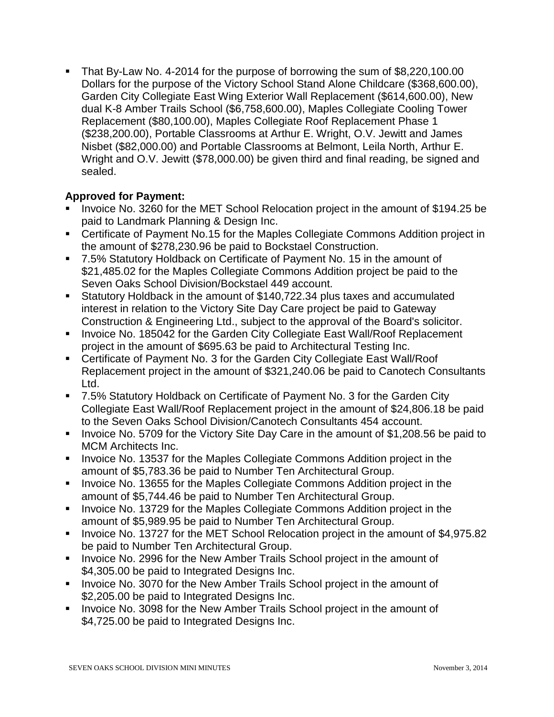That By-Law No. 4-2014 for the purpose of borrowing the sum of \$8,220,100.00 Dollars for the purpose of the Victory School Stand Alone Childcare (\$368,600.00), Garden City Collegiate East Wing Exterior Wall Replacement (\$614,600.00), New dual K-8 Amber Trails School (\$6,758,600.00), Maples Collegiate Cooling Tower Replacement (\$80,100.00), Maples Collegiate Roof Replacement Phase 1 (\$238,200.00), Portable Classrooms at Arthur E. Wright, O.V. Jewitt and James Nisbet (\$82,000.00) and Portable Classrooms at Belmont, Leila North, Arthur E. Wright and O.V. Jewitt (\$78,000.00) be given third and final reading, be signed and sealed.

### **Approved for Payment:**

- Invoice No. 3260 for the MET School Relocation project in the amount of \$194.25 be paid to Landmark Planning & Design Inc.
- Certificate of Payment No.15 for the Maples Collegiate Commons Addition project in the amount of \$278,230.96 be paid to Bockstael Construction.
- 7.5% Statutory Holdback on Certificate of Payment No. 15 in the amount of \$21,485.02 for the Maples Collegiate Commons Addition project be paid to the Seven Oaks School Division/Bockstael 449 account.
- Statutory Holdback in the amount of \$140,722.34 plus taxes and accumulated interest in relation to the Victory Site Day Care project be paid to Gateway Construction & Engineering Ltd., subject to the approval of the Board's solicitor.
- **Invoice No. 185042 for the Garden City Collegiate East Wall/Roof Replacement** project in the amount of \$695.63 be paid to Architectural Testing Inc.
- Certificate of Payment No. 3 for the Garden City Collegiate East Wall/Roof Replacement project in the amount of \$321,240.06 be paid to Canotech Consultants Ltd.
- 7.5% Statutory Holdback on Certificate of Payment No. 3 for the Garden City Collegiate East Wall/Roof Replacement project in the amount of \$24,806.18 be paid to the Seven Oaks School Division/Canotech Consultants 454 account.
- Invoice No. 5709 for the Victory Site Day Care in the amount of \$1,208.56 be paid to MCM Architects Inc.
- **Invoice No. 13537 for the Maples Collegiate Commons Addition project in the** amount of \$5,783.36 be paid to Number Ten Architectural Group.
- **Invoice No. 13655 for the Maples Collegiate Commons Addition project in the** amount of \$5,744.46 be paid to Number Ten Architectural Group.
- **IDED** Invoice No. 13729 for the Maples Collegiate Commons Addition project in the amount of \$5,989.95 be paid to Number Ten Architectural Group.
- Invoice No. 13727 for the MET School Relocation project in the amount of \$4,975.82 be paid to Number Ten Architectural Group.
- **IDED 10. 2996 For the New Amber Trails School project in the amount of 1** \$4,305.00 be paid to Integrated Designs Inc.
- Invoice No. 3070 for the New Amber Trails School project in the amount of \$2,205.00 be paid to Integrated Designs Inc.
- **Invoice No. 3098 for the New Amber Trails School project in the amount of** \$4,725.00 be paid to Integrated Designs Inc.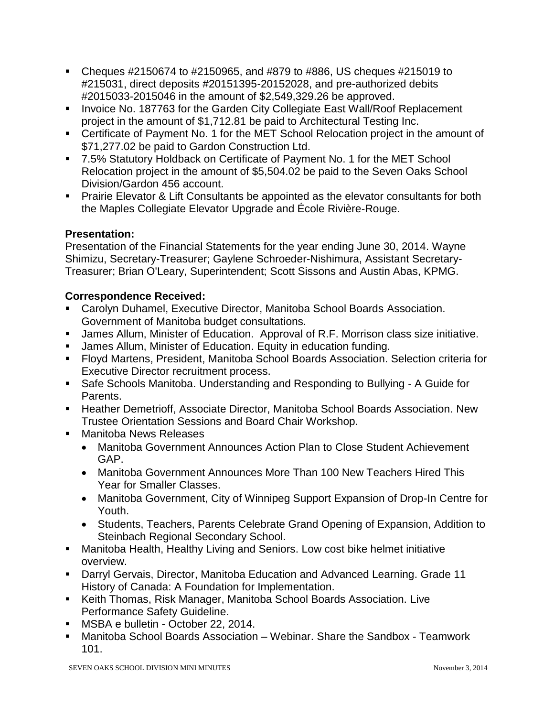- Cheques  $\#2150674$  to  $\#2150965$ , and  $\#879$  to  $\#886$ , US cheques  $\#215019$  to #215031, direct deposits #20151395-20152028, and pre-authorized debits #2015033-2015046 in the amount of \$2,549,329.26 be approved.
- **Invoice No. 187763 for the Garden City Collegiate East Wall/Roof Replacement** project in the amount of \$1,712.81 be paid to Architectural Testing Inc.
- Certificate of Payment No. 1 for the MET School Relocation project in the amount of \$71,277.02 be paid to Gardon Construction Ltd.
- 7.5% Statutory Holdback on Certificate of Payment No. 1 for the MET School Relocation project in the amount of \$5,504.02 be paid to the Seven Oaks School Division/Gardon 456 account.
- **Prairie Elevator & Lift Consultants be appointed as the elevator consultants for both** the Maples Collegiate Elevator Upgrade and École Rivière-Rouge.

#### **Presentation:**

Presentation of the Financial Statements for the year ending June 30, 2014. Wayne Shimizu, Secretary-Treasurer; Gaylene Schroeder-Nishimura, Assistant Secretary-Treasurer; Brian O'Leary, Superintendent; Scott Sissons and Austin Abas, KPMG.

#### **Correspondence Received:**

- Carolyn Duhamel, Executive Director, Manitoba School Boards Association. Government of Manitoba budget consultations.
- James Allum, Minister of Education. Approval of R.F. Morrison class size initiative.
- James Allum, Minister of Education. Equity in education funding.
- Floyd Martens, President, Manitoba School Boards Association. Selection criteria for Executive Director recruitment process.
- Safe Schools Manitoba. Understanding and Responding to Bullying A Guide for Parents.
- **Heather Demetrioff, Associate Director, Manitoba School Boards Association. New** Trustee Orientation Sessions and Board Chair Workshop.
- **Manitoba News Releases** 
	- Manitoba Government Announces Action Plan to Close Student Achievement GAP.
	- Manitoba Government Announces More Than 100 New Teachers Hired This Year for Smaller Classes.
	- Manitoba Government, City of Winnipeg Support Expansion of Drop-In Centre for Youth.
	- Students, Teachers, Parents Celebrate Grand Opening of Expansion, Addition to Steinbach Regional Secondary School.
- Manitoba Health, Healthy Living and Seniors. Low cost bike helmet initiative overview.
- Darryl Gervais, Director, Manitoba Education and Advanced Learning. Grade 11 History of Canada: A Foundation for Implementation.
- Keith Thomas, Risk Manager, Manitoba School Boards Association. Live Performance Safety Guideline.
- MSBA e bulletin October 22, 2014.
- Manitoba School Boards Association Webinar. Share the Sandbox Teamwork 101.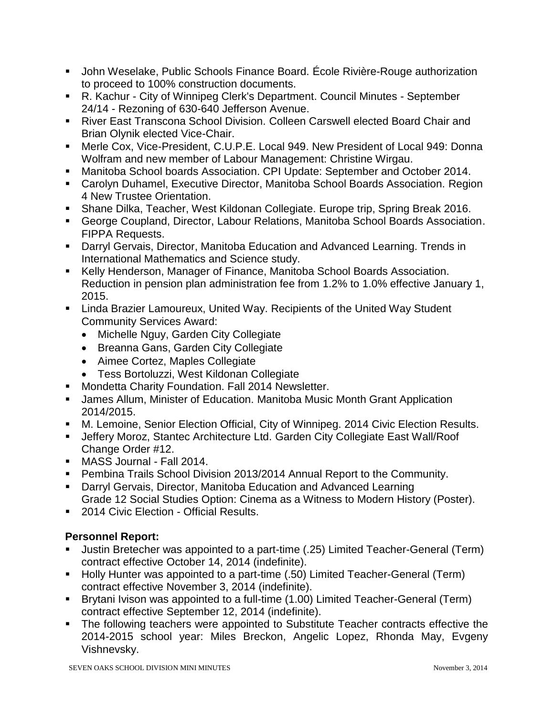- John Weselake, Public Schools Finance Board. École Rivière-Rouge authorization to proceed to 100% construction documents.
- R. Kachur City of Winnipeg Clerk's Department. Council Minutes September 24/14 - Rezoning of 630-640 Jefferson Avenue.
- River East Transcona School Division. Colleen Carswell elected Board Chair and Brian Olynik elected Vice-Chair.
- Merle Cox, Vice-President, C.U.P.E. Local 949. New President of Local 949: Donna Wolfram and new member of Labour Management: Christine Wirgau.
- Manitoba School boards Association. CPI Update: September and October 2014.
- Carolyn Duhamel, Executive Director, Manitoba School Boards Association. Region 4 New Trustee Orientation.
- Shane Dilka, Teacher, West Kildonan Collegiate. Europe trip, Spring Break 2016.
- George Coupland, Director, Labour Relations, Manitoba School Boards Association. FIPPA Requests.
- Darryl Gervais, Director, Manitoba Education and Advanced Learning. Trends in International Mathematics and Science study.
- Kelly Henderson, Manager of Finance, Manitoba School Boards Association. Reduction in pension plan administration fee from 1.2% to 1.0% effective January 1, 2015.
- **EXTER 15 FE 2018 I** Linda Brazier Lamoureux, United Way Inited Way Student Community Services Award:
	- Michelle Nguy, Garden City Collegiate
	- Breanna Gans, Garden City Collegiate
	- Aimee Cortez, Maples Collegiate
	- Tess Bortoluzzi, West Kildonan Collegiate
- **Mondetta Charity Foundation. Fall 2014 Newsletter.**
- James Allum, Minister of Education. Manitoba Music Month Grant Application 2014/2015.
- M. Lemoine, Senior Election Official, City of Winnipeg. 2014 Civic Election Results.
- Jeffery Moroz, Stantec Architecture Ltd. Garden City Collegiate East Wall/Roof Change Order #12.
- MASS Journal Fall 2014.
- Pembina Trails School Division 2013/2014 Annual Report to the Community.
- Darryl Gervais, Director, Manitoba Education and Advanced Learning Grade 12 Social Studies Option: Cinema as a Witness to Modern History (Poster).
- **2014 Civic Election Official Results.**

## **Personnel Report:**

- Justin Bretecher was appointed to a part-time (.25) Limited Teacher-General (Term) contract effective October 14, 2014 (indefinite).
- Holly Hunter was appointed to a part-time (.50) Limited Teacher-General (Term) contract effective November 3, 2014 (indefinite).
- Brytani Ivison was appointed to a full-time (1.00) Limited Teacher-General (Term) contract effective September 12, 2014 (indefinite).
- The following teachers were appointed to Substitute Teacher contracts effective the 2014-2015 school year: Miles Breckon, Angelic Lopez, Rhonda May, Evgeny Vishnevsky.